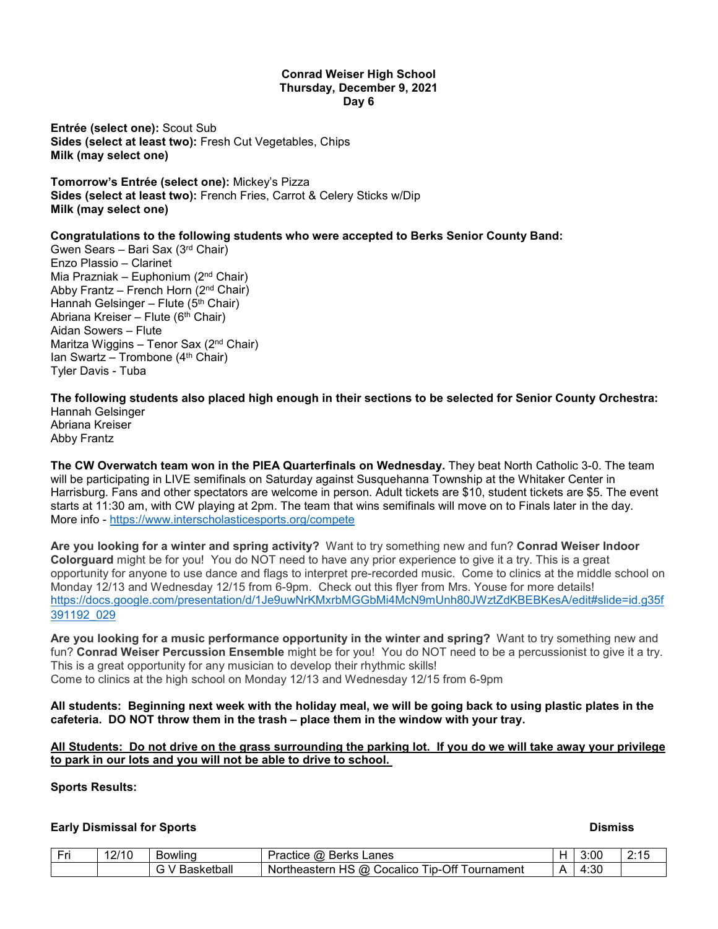#### **Conrad Weiser High School Thursday, December 9, 2021 Day 6**

**Entrée (select one):** Scout Sub **Sides (select at least two):** Fresh Cut Vegetables, Chips **Milk (may select one)**

**Tomorrow's Entrée (select one):** Mickey's Pizza **Sides (select at least two):** French Fries, Carrot & Celery Sticks w/Dip **Milk (may select one)**

# **Congratulations to the following students who were accepted to Berks Senior County Band:**

Gwen Sears – Bari Sax (3rd Chair) Enzo Plassio – Clarinet Mia Prazniak – Euphonium (2nd Chair) Abby Frantz – French Horn  $(2^{nd}$  Chair) Hannah Gelsinger – Flute ( $5<sup>th</sup> Chair$ ) Abriana Kreiser – Flute (6<sup>th</sup> Chair) Aidan Sowers – Flute Maritza Wiggins – Tenor Sax (2<sup>nd</sup> Chair) Ian Swartz – Trombone  $(4<sup>th</sup> Chair)$ Tyler Davis - Tuba

**The following students also placed high enough in their sections to be selected for Senior County Orchestra:** Hannah Gelsinger

Abriana Kreiser Abby Frantz

**The CW Overwatch team won in the PIEA Quarterfinals on Wednesday.** They beat North Catholic 3-0. The team will be participating in LIVE semifinals on Saturday against Susquehanna Township at the Whitaker Center in Harrisburg. Fans and other spectators are welcome in person. Adult tickets are \$10, student tickets are \$5. The event starts at 11:30 am, with CW playing at 2pm. The team that wins semifinals will move on to Finals later in the day. More info - <https://www.interscholasticesports.org/compete>

**Are you looking for a winter and spring activity?** Want to try something new and fun? **Conrad Weiser Indoor Colorguard** might be for you! You do NOT need to have any prior experience to give it a try. This is a great opportunity for anyone to use dance and flags to interpret pre-recorded music. Come to clinics at the middle school on Monday 12/13 and Wednesday 12/15 from 6-9pm. Check out this flyer from Mrs. Youse for more details! [https://docs.google.com/presentation/d/1Je9uwNrKMxrbMGGbMi4McN9mUnh80JWztZdKBEBKesA/edit#slide=id.g35f](https://docs.google.com/presentation/d/1Je9uwNrKMxrbMGGbMi4McN9mUnh80JWztZdKBEBKesA/edit#slide=id.g35f391192_029) [391192\\_029](https://docs.google.com/presentation/d/1Je9uwNrKMxrbMGGbMi4McN9mUnh80JWztZdKBEBKesA/edit#slide=id.g35f391192_029)

**Are you looking for a music performance opportunity in the winter and spring?** Want to try something new and fun? **Conrad Weiser Percussion Ensemble** might be for you! You do NOT need to be a percussionist to give it a try. This is a great opportunity for any musician to develop their rhythmic skills! Come to clinics at the high school on Monday 12/13 and Wednesday 12/15 from 6-9pm

**All students: Beginning next week with the holiday meal, we will be going back to using plastic plates in the cafeteria. DO NOT throw them in the trash – place them in the window with your tray.**

# **All Students: Do not drive on the grass surrounding the parking lot. If you do we will take away your privilege to park in our lots and you will not be able to drive to school.**

# **Sports Results:**

# **Early Dismissal for Sports Dismiss**

| $ -$ | $\sim$<br>11C<br>10.<br>∠ | Bowling        | Berks<br>∟anes<br>a Just<br>ω<br>ractice                                                          |   | 3:00       |  |
|------|---------------------------|----------------|---------------------------------------------------------------------------------------------------|---|------------|--|
|      |                           | . .<br>ketball | $\sim$ $\sim$ $\sim$<br>∽<br>; (a)<br>-un<br>J۲<br>`ournament<br>theastern<br>Cocalico<br>חמ<br>w | △ | :30<br>,,, |  |